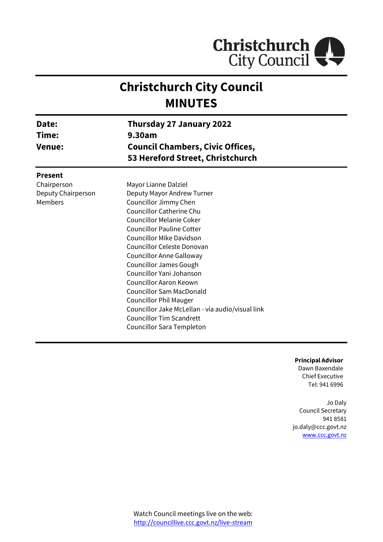

# **Christchurch City Council MINUTES**

| Date:<br>Time:<br><b>Venue:</b> | Thursday 27 January 2022<br>9.30am<br><b>Council Chambers, Civic Offices,</b><br>53 Hereford Street, Christchurch |  |
|---------------------------------|-------------------------------------------------------------------------------------------------------------------|--|
| <b>Present</b>                  |                                                                                                                   |  |
| Chairperson                     | Mayor Lianne Dalziel                                                                                              |  |
| Deputy Chairperson              | Deputy Mayor Andrew Turner                                                                                        |  |
| Members                         | Councillor Jimmy Chen                                                                                             |  |
|                                 | <b>Councillor Catherine Chu</b>                                                                                   |  |
|                                 | <b>Councillor Melanie Coker</b>                                                                                   |  |
|                                 | <b>Councillor Pauline Cotter</b>                                                                                  |  |
|                                 | <b>Councillor Mike Davidson</b>                                                                                   |  |
|                                 | Councillor Celeste Donovan                                                                                        |  |
|                                 | <b>Councillor Anne Galloway</b>                                                                                   |  |
|                                 | <b>Councillor James Gough</b>                                                                                     |  |
|                                 | Councillor Yani Johanson                                                                                          |  |
|                                 | Councillor Aaron Keown                                                                                            |  |
|                                 | <b>Councillor Sam MacDonald</b>                                                                                   |  |
|                                 | <b>Councillor Phil Mauger</b>                                                                                     |  |
|                                 | Councillor Jake McLellan - via audio/visual link                                                                  |  |
|                                 | <b>Councillor Tim Scandrett</b>                                                                                   |  |
|                                 | Councillor Sara Templeton                                                                                         |  |

**Principal Advisor** Dawn Baxendale Chief Executive Tel: 941 6996

٠

Jo Daly Council Secretary 941 8581 jo.daly@ccc.govt.nz [www.ccc.govt.nz](http://www.ccc.govt.nz/)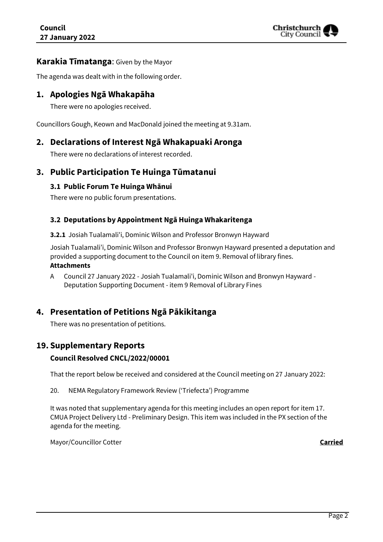

### **Karakia Tīmatanga**: Given by the Mayor

The agenda was dealt with in the following order.

# **1. Apologies Ngā Whakapāha**

There were no apologies received.

Councillors Gough, Keown and MacDonald joined the meeting at 9.31am.

# **2. Declarations of Interest Ngā Whakapuaki Aronga**

There were no declarations of interest recorded.

# **3. Public Participation Te Huinga Tūmatanui**

#### **3.1 Public Forum Te Huinga Whānui**

There were no public forum presentations.

#### **3.2 Deputations by Appointment Ngā Huinga Whakaritenga**

**3.2.1** Josiah Tualamali'i, Dominic Wilson and Professor Bronwyn Hayward

Josiah Tualamali'i, Dominic Wilson and Professor Bronwyn Hayward presented a deputation and provided a supporting document to the Council on item 9. Removal of library fines. **Attachments**

A Council 27 January 2022 - Josiah Tualamali'i, Dominic Wilson and Bronwyn Hayward - Deputation Supporting Document - item 9 Removal of Library Fines

# **4. Presentation of Petitions Ngā Pākikitanga**

There was no presentation of petitions.

# **19. Supplementary Reports**

#### **Council Resolved CNCL/2022/00001**

That the report below be received and considered at the Council meeting on 27 January 2022:

20. NEMA Regulatory Framework Review ('Triefecta') Programme

It was noted that supplementary agenda for this meeting includes an open report for item 17. CMUA Project Delivery Ltd - Preliminary Design. This item was included in the PX section of the agenda for the meeting.

Mayor/Councillor Cotter **Carried**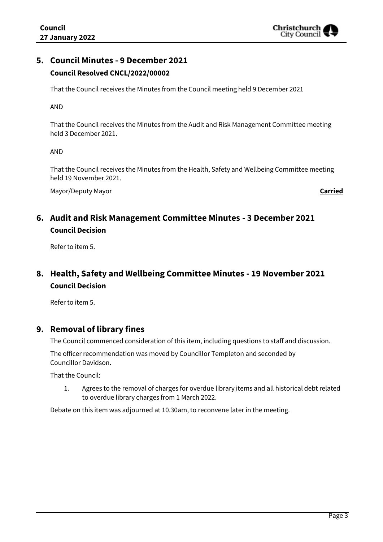

# **5. Council Minutes - 9 December 2021 Council Resolved CNCL/2022/00002**

That the Council receives the Minutes from the Council meeting held 9 December 2021

AND

That the Council receives the Minutes from the Audit and Risk Management Committee meeting held 3 December 2021.

AND

That the Council receives the Minutes from the Health, Safety and Wellbeing Committee meeting held 19 November 2021.

Mayor/Deputy Mayor **Carried**

# **6. Audit and Risk Management Committee Minutes - 3 December 2021 Council Decision**

Refer to item 5.

# **8. Health, Safety and Wellbeing Committee Minutes - 19 November 2021 Council Decision**

Refer to item 5.

# **9. Removal of library fines**

The Council commenced consideration of this item, including questions to staff and discussion.

The officer recommendation was moved by Councillor Templeton and seconded by Councillor Davidson.

That the Council:

1. Agrees to the removal of charges for overdue library items and all historical debt related to overdue library charges from 1 March 2022.

Debate on this item was adjourned at 10.30am, to reconvene later in the meeting.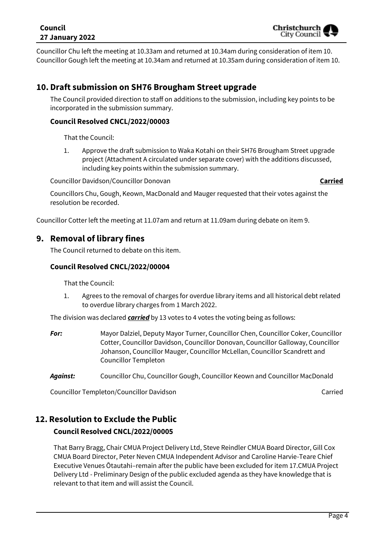### **Council 27 January 2022**



Councillor Chu left the meeting at 10.33am and returned at 10.34am during consideration of item 10. Councillor Gough left the meeting at 10.34am and returned at 10.35am during consideration of item 10.

# **10. Draft submission on SH76 Brougham Street upgrade**

The Council provided direction to staff on additions to the submission, including key points to be incorporated in the submission summary.

#### **Council Resolved CNCL/2022/00003**

That the Council:

1. Approve the draft submission to Waka Kotahi on their SH76 Brougham Street upgrade project (Attachment A circulated under separate cover) with the additions discussed, including key points within the submission summary.

Councillor Davidson/Councillor Donovan **Carried**

Councillors Chu, Gough, Keown, MacDonald and Mauger requested that their votes against the resolution be recorded.

Councillor Cotter left the meeting at 11.07am and return at 11.09am during debate on item 9.

# **9. Removal of library fines**

The Council returned to debate on this item.

#### **Council Resolved CNCL/2022/00004**

That the Council:

1. Agrees to the removal of charges for overdue library items and all historical debt related to overdue library charges from 1 March 2022.

The division was declared *carried* by 13 votes to 4 votes the voting being as follows:

*For:* Mayor Dalziel, Deputy Mayor Turner, Councillor Chen, Councillor Coker, Councillor Cotter, Councillor Davidson, Councillor Donovan, Councillor Galloway, Councillor Johanson, Councillor Mauger, Councillor McLellan, Councillor Scandrett and Councillor Templeton

*Against:* Councillor Chu, Councillor Gough, Councillor Keown and Councillor MacDonald

Councillor Templeton/Councillor Davidson Carried Council and Carried Carried

# **12. Resolution to Exclude the Public**

# **Council Resolved CNCL/2022/00005**

That Barry Bragg, Chair CMUA Project Delivery Ltd, Steve Reindler CMUA Board Director, Gill Cox CMUA Board Director, Peter Neven CMUA Independent Advisor and Caroline Harvie-Teare Chief Executive Venues Ōtautahi–remain after the public have been excluded for item 17.CMUA Project Delivery Ltd - Preliminary Design of the public excluded agenda as they have knowledge that is relevant to that item and will assist the Council.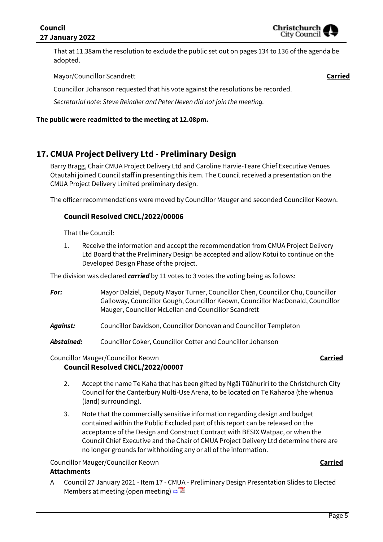That at 11.38am the resolution to exclude the public set out on pages 134 to 136 of the agenda be adopted.

Mayor/Councillor Scandrett **Carried**

Councillor Johanson requested that his vote against the resolutions be recorded.

*Secretarial note: Steve Reindler and Peter Neven did not join the meeting.*

#### **The public were readmitted to the meeting at 12.08pm.**

# **17. CMUA Project Delivery Ltd - Preliminary Design**

Barry Bragg, Chair CMUA Project Delivery Ltd and Caroline Harvie-Teare Chief Executive Venues Ōtautahi joined Council staff in presenting this item. The Council received a presentation on the CMUA Project Delivery Limited preliminary design.

The officer recommendations were moved by Councillor Mauger and seconded Councillor Keown.

#### **Council Resolved CNCL/2022/00006**

That the Council:

1. Receive the information and accept the recommendation from CMUA Project Delivery Ltd Board that the Preliminary Design be accepted and allow Kōtui to continue on the Developed Design Phase of the project.

The division was declared *carried* by 11 votes to 3 votes the voting being as follows:

- *For:* Mayor Dalziel, Deputy Mayor Turner, Councillor Chen, Councillor Chu, Councillor Galloway, Councillor Gough, Councillor Keown, Councillor MacDonald, Councillor Mauger, Councillor McLellan and Councillor Scandrett
- *Against:* Councillor Davidson, Councillor Donovan and Councillor Templeton
- *Abstained:* Councillor Coker, Councillor Cotter and Councillor Johanson

#### Councillor Mauger/Councillor Keown **Carried Council Resolved CNCL/2022/00007**

- 2. Accept the name Te Kaha that has been gifted by Ngāi Tūāhuriri to the Christchurch City Council for the Canterbury Multi-Use Arena, to be located on Te Kaharoa (the whenua (land) surrounding).
- 3. Note that the commercially sensitive information regarding design and budget contained within the Public Excluded part of this report can be released on the acceptance of the Design and Construct Contract with BESIX Watpac, or when the Council Chief Executive and the Chair of CMUA Project Delivery Ltd determine there are no longer grounds for withholding any or all of the information.

Councillor Mauger/Councillor Keown **Carried**

#### **Attachments**

A Council 27 January 2021 - Item 17 - CMUA - Preliminary Design Presentation Slides to Elected Members at meeting (open meeting)  $\Rightarrow$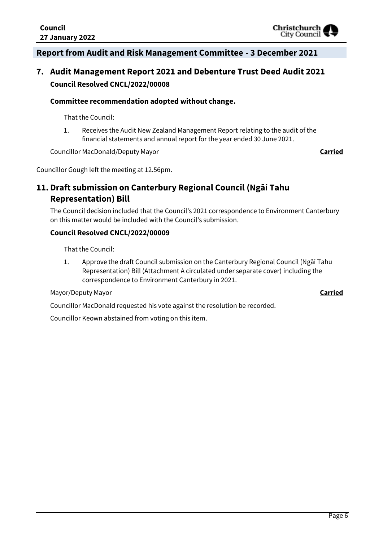# **Report from Audit and Risk Management Committee - 3 December 2021**

# **7. Audit Management Report 2021 and Debenture Trust Deed Audit 2021 Council Resolved CNCL/2022/00008**

#### **Committee recommendation adopted without change.**

That the Council:

1. Receives the Audit New Zealand Management Report relating to the audit of the financial statements and annual report for the year ended 30 June 2021.

Councillor MacDonald/Deputy Mayor **Carried**

Councillor Gough left the meeting at 12.56pm.

# **11. Draft submission on Canterbury Regional Council (Ngāi Tahu Representation) Bill**

The Council decision included that the Council's 2021 correspondence to Environment Canterbury on this matter would be included with the Council's submission.

#### **Council Resolved CNCL/2022/00009**

That the Council:

1. Approve the draft Council submission on the Canterbury Regional Council (Ngāi Tahu Representation) Bill (Attachment A circulated under separate cover) including the correspondence to Environment Canterbury in 2021.

#### Mayor/Deputy Mayor **Carried**

Councillor MacDonald requested his vote against the resolution be recorded.

Councillor Keown abstained from voting on this item.